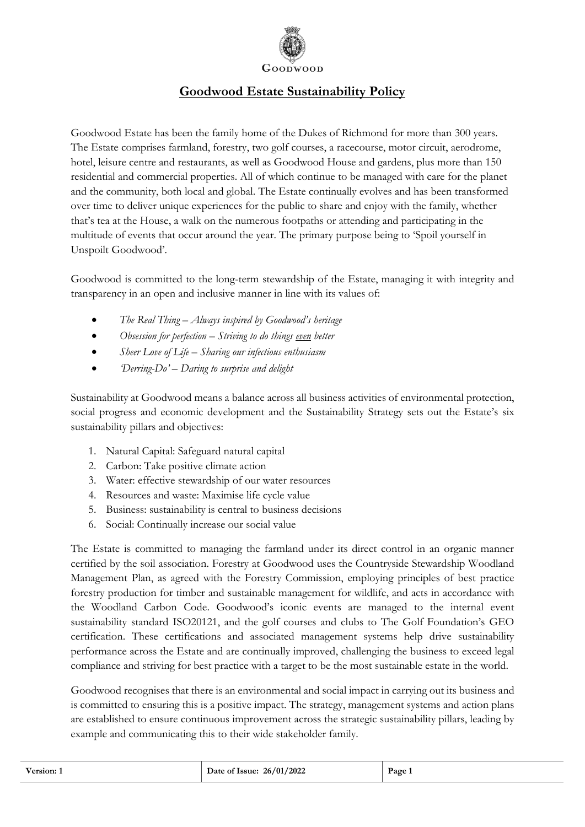

## **Goodwood Estate Sustainability Policy**

Goodwood Estate has been the family home of the Dukes of Richmond for more than 300 years. The Estate comprises farmland, forestry, two golf courses, a racecourse, motor circuit, aerodrome, hotel, leisure centre and restaurants, as well as Goodwood House and gardens, plus more than 150 residential and commercial properties. All of which continue to be managed with care for the planet and the community, both local and global. The Estate continually evolves and has been transformed over time to deliver unique experiences for the public to share and enjoy with the family, whether that's tea at the House, a walk on the numerous footpaths or attending and participating in the multitude of events that occur around the year. The primary purpose being to 'Spoil yourself in Unspoilt Goodwood'.

Goodwood is committed to the long-term stewardship of the Estate, managing it with integrity and transparency in an open and inclusive manner in line with its values of:

- *The Real Thing – Always inspired by Goodwood's heritage*
- *Obsession for perfection – Striving to do things even better*
- *Sheer Love of Life – Sharing our infectious enthusiasm*
- *'Derring-Do' – Daring to surprise and delight*

Sustainability at Goodwood means a balance across all business activities of environmental protection, social progress and economic development and the Sustainability Strategy sets out the Estate's six sustainability pillars and objectives:

- 1. Natural Capital: Safeguard natural capital
- 2. Carbon: Take positive climate action
- 3. Water: effective stewardship of our water resources
- 4. Resources and waste: Maximise life cycle value
- 5. Business: sustainability is central to business decisions
- 6. Social: Continually increase our social value

The Estate is committed to managing the farmland under its direct control in an organic manner certified by the soil association. Forestry at Goodwood uses the Countryside Stewardship Woodland Management Plan, as agreed with the Forestry Commission, employing principles of best practice forestry production for timber and sustainable management for wildlife, and acts in accordance with the Woodland Carbon Code. Goodwood's iconic events are managed to the internal event sustainability standard ISO20121, and the golf courses and clubs to The Golf Foundation's GEO certification. These certifications and associated management systems help drive sustainability performance across the Estate and are continually improved, challenging the business to exceed legal compliance and striving for best practice with a target to be the most sustainable estate in the world.

Goodwood recognises that there is an environmental and social impact in carrying out its business and is committed to ensuring this is a positive impact. The strategy, management systems and action plans are established to ensure continuous improvement across the strategic sustainability pillars, leading by example and communicating this to their wide stakeholder family.

| <b>Version:</b> | Date of Issue: 26/01/2022 | Page 1 |
|-----------------|---------------------------|--------|
|                 |                           |        |